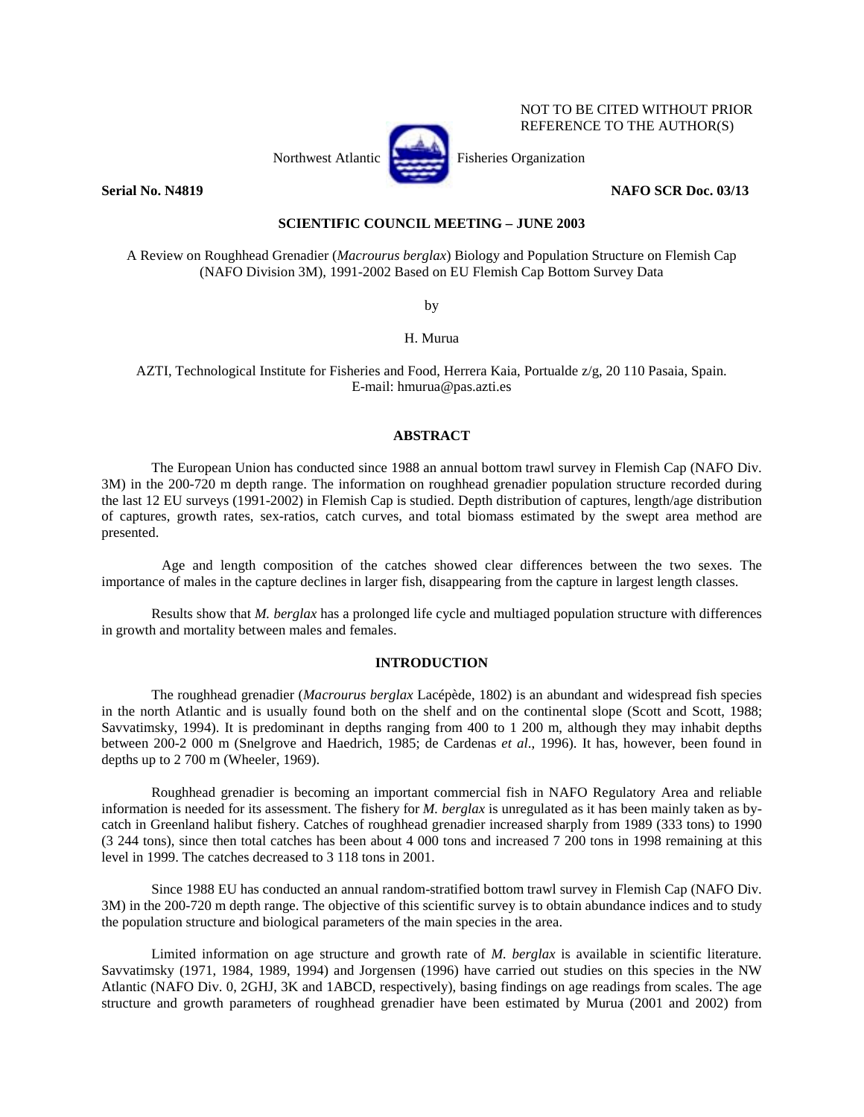

NOT TO BE CITED WITHOUT PRIOR REFERENCE TO THE AUTHOR(S)

## **Serial No. N4819 NAFO SCR Doc. 03/13**

# **SCIENTIFIC COUNCIL MEETING – JUNE 2003**

A Review on Roughhead Grenadier (*Macrourus berglax*) Biology and Population Structure on Flemish Cap (NAFO Division 3M), 1991-2002 Based on EU Flemish Cap Bottom Survey Data

by

H. Murua

AZTI, Technological Institute for Fisheries and Food, Herrera Kaia, Portualde z/g, 20 110 Pasaia, Spain. E-mail: hmurua@pas.azti.es

## **ABSTRACT**

The European Union has conducted since 1988 an annual bottom trawl survey in Flemish Cap (NAFO Div. 3M) in the 200-720 m depth range. The information on roughhead grenadier population structure recorded during the last 12 EU surveys (1991-2002) in Flemish Cap is studied. Depth distribution of captures, length/age distribution of captures, growth rates, sex-ratios, catch curves, and total biomass estimated by the swept area method are presented.

Age and length composition of the catches showed clear differences between the two sexes. The importance of males in the capture declines in larger fish, disappearing from the capture in largest length classes.

Results show that *M. berglax* has a prolonged life cycle and multiaged population structure with differences in growth and mortality between males and females.

#### **INTRODUCTION**

The roughhead grenadier (*Macrourus berglax* Lacépède, 1802) is an abundant and widespread fish species in the north Atlantic and is usually found both on the shelf and on the continental slope (Scott and Scott, 1988; Savvatimsky, 1994). It is predominant in depths ranging from 400 to 1 200 m, although they may inhabit depths between 200-2 000 m (Snelgrove and Haedrich, 1985; de Cardenas *et al*., 1996). It has, however, been found in depths up to 2 700 m (Wheeler, 1969).

Roughhead grenadier is becoming an important commercial fish in NAFO Regulatory Area and reliable information is needed for its assessment. The fishery for *M. berglax* is unregulated as it has been mainly taken as bycatch in Greenland halibut fishery. Catches of roughhead grenadier increased sharply from 1989 (333 tons) to 1990 (3 244 tons), since then total catches has been about 4 000 tons and increased 7 200 tons in 1998 remaining at this level in 1999. The catches decreased to 3 118 tons in 2001.

Since 1988 EU has conducted an annual random-stratified bottom trawl survey in Flemish Cap (NAFO Div. 3M) in the 200-720 m depth range. The objective of this scientific survey is to obtain abundance indices and to study the population structure and biological parameters of the main species in the area.

 Limited information on age structure and growth rate of *M. berglax* is available in scientific literature. Savvatimsky (1971, 1984, 1989, 1994) and Jorgensen (1996) have carried out studies on this species in the NW Atlantic (NAFO Div. 0, 2GHJ, 3K and 1ABCD, respectively), basing findings on age readings from scales. The age structure and growth parameters of roughhead grenadier have been estimated by Murua (2001 and 2002) from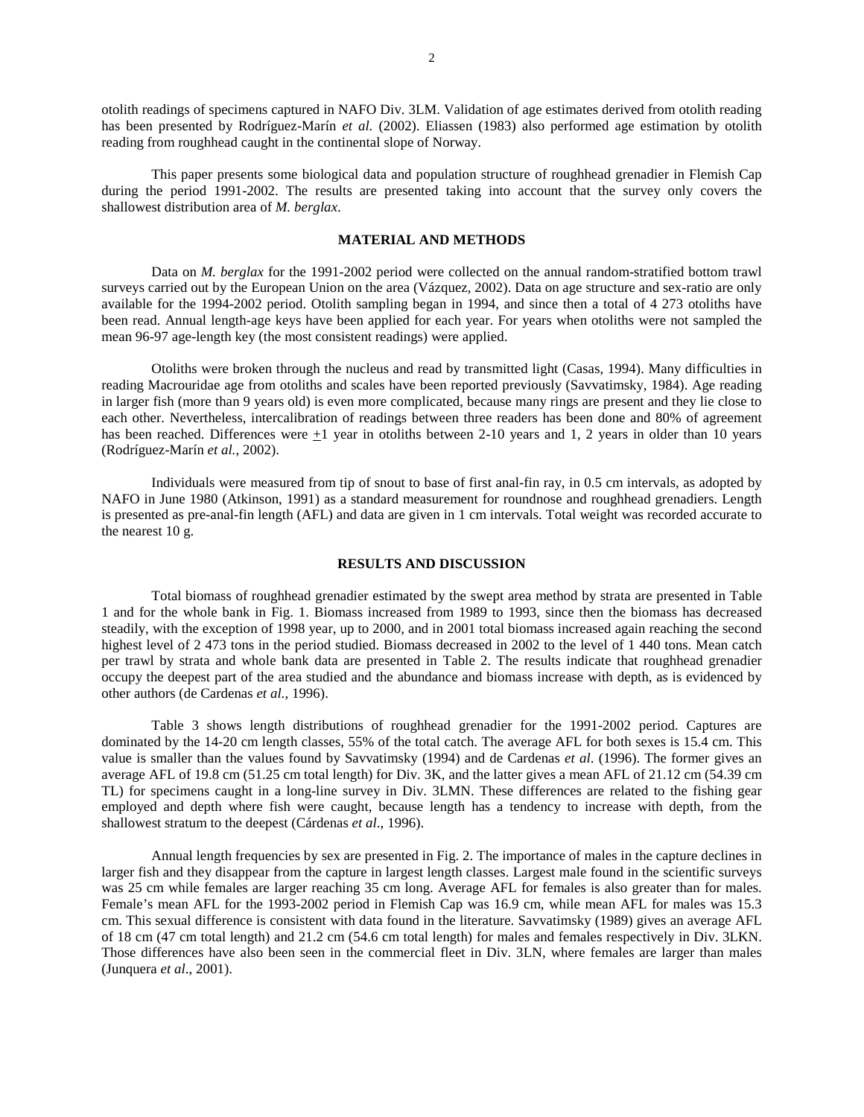otolith readings of specimens captured in NAFO Div. 3LM. Validation of age estimates derived from otolith reading has been presented by Rodríguez-Marín *et al.* (2002). Eliassen (1983) also performed age estimation by otolith reading from roughhead caught in the continental slope of Norway.

This paper presents some biological data and population structure of roughhead grenadier in Flemish Cap during the period 1991-2002. The results are presented taking into account that the survey only covers the shallowest distribution area of *M. berglax*.

## **MATERIAL AND METHODS**

Data on *M. berglax* for the 1991-2002 period were collected on the annual random-stratified bottom trawl surveys carried out by the European Union on the area (Vázquez, 2002). Data on age structure and sex-ratio are only available for the 1994-2002 period. Otolith sampling began in 1994, and since then a total of 4 273 otoliths have been read. Annual length-age keys have been applied for each year. For years when otoliths were not sampled the mean 96-97 age-length key (the most consistent readings) were applied.

Otoliths were broken through the nucleus and read by transmitted light (Casas, 1994). Many difficulties in reading Macrouridae age from otoliths and scales have been reported previously (Savvatimsky, 1984). Age reading in larger fish (more than 9 years old) is even more complicated, because many rings are present and they lie close to each other. Nevertheless, intercalibration of readings between three readers has been done and 80% of agreement has been reached. Differences were  $\pm 1$  year in otoliths between 2-10 years and 1, 2 years in older than 10 years (Rodríguez-Marín *et al.*, 2002).

Individuals were measured from tip of snout to base of first anal-fin ray, in 0.5 cm intervals, as adopted by NAFO in June 1980 (Atkinson, 1991) as a standard measurement for roundnose and roughhead grenadiers. Length is presented as pre-anal-fin length (AFL) and data are given in 1 cm intervals. Total weight was recorded accurate to the nearest 10 g.

## **RESULTS AND DISCUSSION**

Total biomass of roughhead grenadier estimated by the swept area method by strata are presented in Table 1 and for the whole bank in Fig. 1. Biomass increased from 1989 to 1993, since then the biomass has decreased steadily, with the exception of 1998 year, up to 2000, and in 2001 total biomass increased again reaching the second highest level of 2 473 tons in the period studied. Biomass decreased in 2002 to the level of 1 440 tons. Mean catch per trawl by strata and whole bank data are presented in Table 2. The results indicate that roughhead grenadier occupy the deepest part of the area studied and the abundance and biomass increase with depth, as is evidenced by other authors (de Cardenas *et al*., 1996).

Table 3 shows length distributions of roughhead grenadier for the 1991-2002 period. Captures are dominated by the 14-20 cm length classes, 55% of the total catch. The average AFL for both sexes is 15.4 cm. This value is smaller than the values found by Savvatimsky (1994) and de Cardenas *et al*. (1996). The former gives an average AFL of 19.8 cm (51.25 cm total length) for Div. 3K, and the latter gives a mean AFL of 21.12 cm (54.39 cm TL) for specimens caught in a long-line survey in Div. 3LMN. These differences are related to the fishing gear employed and depth where fish were caught, because length has a tendency to increase with depth, from the shallowest stratum to the deepest (Cárdenas *et al*., 1996).

Annual length frequencies by sex are presented in Fig. 2. The importance of males in the capture declines in larger fish and they disappear from the capture in largest length classes. Largest male found in the scientific surveys was 25 cm while females are larger reaching 35 cm long. Average AFL for females is also greater than for males. Female's mean AFL for the 1993-2002 period in Flemish Cap was 16.9 cm, while mean AFL for males was 15.3 cm. This sexual difference is consistent with data found in the literature. Savvatimsky (1989) gives an average AFL of 18 cm (47 cm total length) and 21.2 cm (54.6 cm total length) for males and females respectively in Div. 3LKN. Those differences have also been seen in the commercial fleet in Div. 3LN, where females are larger than males (Junquera *et al*., 2001).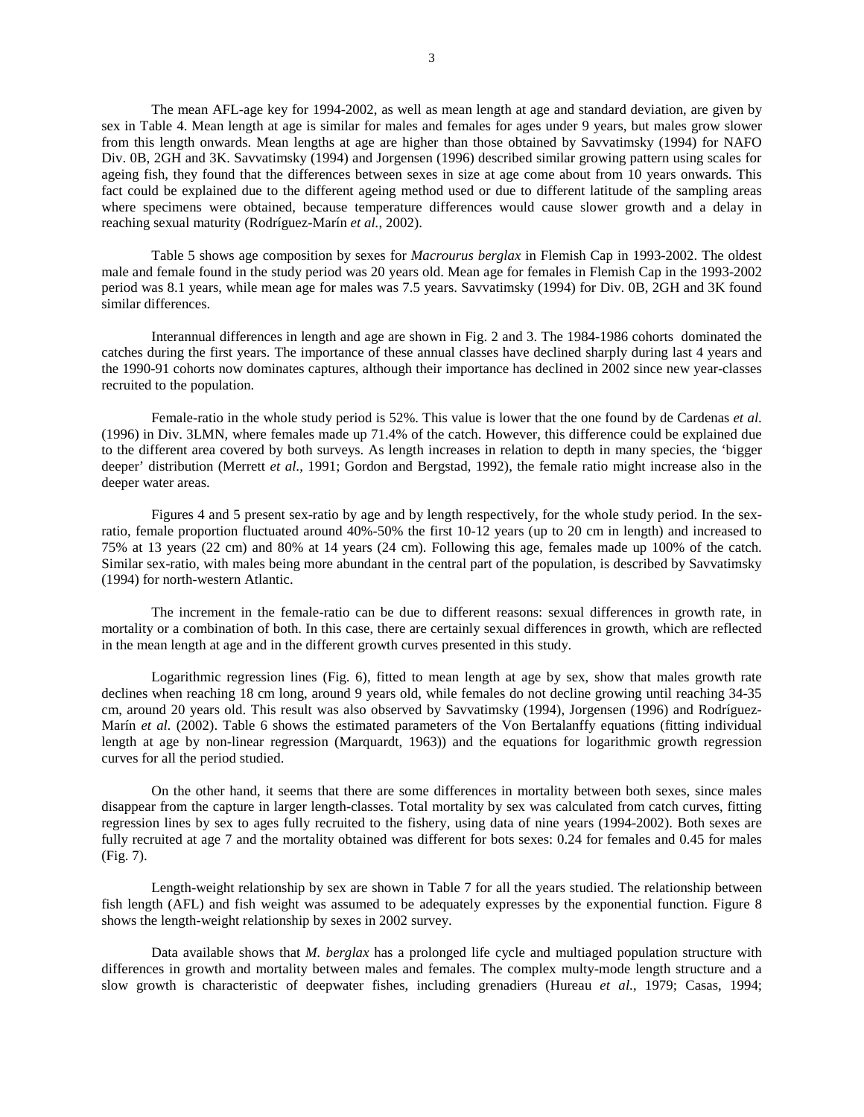The mean AFL-age key for 1994-2002, as well as mean length at age and standard deviation, are given by sex in Table 4. Mean length at age is similar for males and females for ages under 9 years, but males grow slower from this length onwards. Mean lengths at age are higher than those obtained by Savvatimsky (1994) for NAFO Div. 0B, 2GH and 3K. Savvatimsky (1994) and Jorgensen (1996) described similar growing pattern using scales for ageing fish, they found that the differences between sexes in size at age come about from 10 years onwards. This fact could be explained due to the different ageing method used or due to different latitude of the sampling areas where specimens were obtained, because temperature differences would cause slower growth and a delay in reaching sexual maturity (Rodríguez-Marín *et al.*, 2002).

Table 5 shows age composition by sexes for *Macrourus berglax* in Flemish Cap in 1993-2002. The oldest male and female found in the study period was 20 years old. Mean age for females in Flemish Cap in the 1993-2002 period was 8.1 years, while mean age for males was 7.5 years. Savvatimsky (1994) for Div. 0B, 2GH and 3K found similar differences.

Interannual differences in length and age are shown in Fig. 2 and 3. The 1984-1986 cohorts dominated the catches during the first years. The importance of these annual classes have declined sharply during last 4 years and the 1990-91 cohorts now dominates captures, although their importance has declined in 2002 since new year-classes recruited to the population.

Female-ratio in the whole study period is 52%. This value is lower that the one found by de Cardenas *et al*. (1996) in Div. 3LMN, where females made up 71.4% of the catch. However, this difference could be explained due to the different area covered by both surveys. As length increases in relation to depth in many species, the 'bigger deeper' distribution (Merrett *et al*., 1991; Gordon and Bergstad, 1992), the female ratio might increase also in the deeper water areas.

Figures 4 and 5 present sex-ratio by age and by length respectively, for the whole study period. In the sexratio, female proportion fluctuated around 40%-50% the first 10-12 years (up to 20 cm in length) and increased to 75% at 13 years (22 cm) and 80% at 14 years (24 cm). Following this age, females made up 100% of the catch. Similar sex-ratio, with males being more abundant in the central part of the population, is described by Savvatimsky (1994) for north-western Atlantic.

The increment in the female-ratio can be due to different reasons: sexual differences in growth rate, in mortality or a combination of both. In this case, there are certainly sexual differences in growth, which are reflected in the mean length at age and in the different growth curves presented in this study.

Logarithmic regression lines (Fig. 6), fitted to mean length at age by sex, show that males growth rate declines when reaching 18 cm long, around 9 years old, while females do not decline growing until reaching 34-35 cm, around 20 years old. This result was also observed by Savvatimsky (1994), Jorgensen (1996) and Rodríguez-Marín *et al.* (2002). Table 6 shows the estimated parameters of the Von Bertalanffy equations (fitting individual length at age by non-linear regression (Marquardt, 1963)) and the equations for logarithmic growth regression curves for all the period studied.

On the other hand, it seems that there are some differences in mortality between both sexes, since males disappear from the capture in larger length-classes. Total mortality by sex was calculated from catch curves, fitting regression lines by sex to ages fully recruited to the fishery, using data of nine years (1994-2002). Both sexes are fully recruited at age 7 and the mortality obtained was different for bots sexes: 0.24 for females and 0.45 for males (Fig. 7).

Length-weight relationship by sex are shown in Table 7 for all the years studied. The relationship between fish length (AFL) and fish weight was assumed to be adequately expresses by the exponential function. Figure 8 shows the length-weight relationship by sexes in 2002 survey.

Data available shows that *M. berglax* has a prolonged life cycle and multiaged population structure with differences in growth and mortality between males and females. The complex multy-mode length structure and a slow growth is characteristic of deepwater fishes, including grenadiers (Hureau *et al*., 1979; Casas, 1994;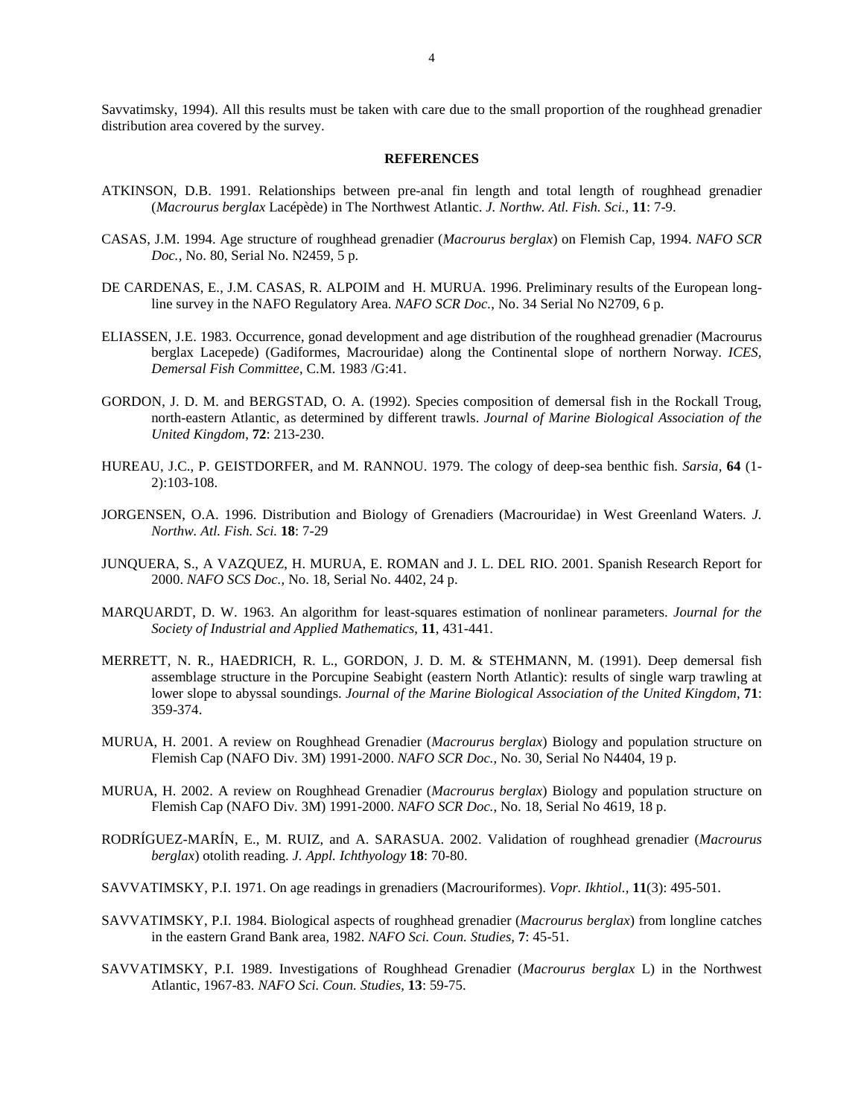#### **REFERENCES**

- ATKINSON, D.B. 1991. Relationships between pre-anal fin length and total length of roughhead grenadier (*Macrourus berglax* Lacépède) in The Northwest Atlantic. *J. Northw. Atl. Fish. Sci.,* **11**: 7-9.
- CASAS, J.M. 1994. Age structure of roughhead grenadier (*Macrourus berglax*) on Flemish Cap, 1994. *NAFO SCR Doc.*, No. 80, Serial No. N2459, 5 p.
- DE CARDENAS, E., J.M. CASAS, R. ALPOIM and H. MURUA. 1996. Preliminary results of the European longline survey in the NAFO Regulatory Area. *NAFO SCR Doc.*, No. 34 Serial No N2709, 6 p.
- ELIASSEN, J.E. 1983. Occurrence, gonad development and age distribution of the roughhead grenadier (Macrourus berglax Lacepede) (Gadiformes, Macrouridae) along the Continental slope of northern Norway. *ICES, Demersal Fish Committee*, C.M. 1983 /G:41.
- GORDON, J. D. M. and BERGSTAD, O. A. (1992). Species composition of demersal fish in the Rockall Troug, north-eastern Atlantic, as determined by different trawls. *Journal of Marine Biological Association of the United Kingdom*, **72**: 213-230.
- HUREAU, J.C., P. GEISTDORFER, and M. RANNOU. 1979. The cology of deep-sea benthic fish. *Sarsia*, **64** (1- 2):103-108.
- JORGENSEN, O.A. 1996. Distribution and Biology of Grenadiers (Macrouridae) in West Greenland Waters. *J. Northw. Atl. Fish. Sci.* **18**: 7-29
- JUNQUERA, S., A VAZQUEZ, H. MURUA, E. ROMAN and J. L. DEL RIO. 2001. Spanish Research Report for 2000. *NAFO SCS Doc.*, No. 18, Serial No. 4402, 24 p.
- MARQUARDT, D. W. 1963. An algorithm for least-squares estimation of nonlinear parameters. *Journal for the Society of Industrial and Applied Mathematics*, **11**, 431-441.
- MERRETT, N. R., HAEDRICH, R. L., GORDON, J. D. M. & STEHMANN, M. (1991). Deep demersal fish assemblage structure in the Porcupine Seabight (eastern North Atlantic): results of single warp trawling at lower slope to abyssal soundings. *Journal of the Marine Biological Association of the United Kingdom*, **71**: 359-374.
- MURUA, H. 2001. A review on Roughhead Grenadier (*Macrourus berglax*) Biology and population structure on Flemish Cap (NAFO Div. 3M) 1991-2000. *NAFO SCR Doc.*, No. 30, Serial No N4404, 19 p.
- MURUA, H. 2002. A review on Roughhead Grenadier (*Macrourus berglax*) Biology and population structure on Flemish Cap (NAFO Div. 3M) 1991-2000. *NAFO SCR Doc.*, No. 18, Serial No 4619, 18 p.
- RODRÍGUEZ-MARÍN, E., M. RUIZ, and A. SARASUA. 2002. Validation of roughhead grenadier (*Macrourus berglax*) otolith reading. *J. Appl. Ichthyology* **18**: 70-80.
- SAVVATIMSKY, P.I. 1971. On age readings in grenadiers (Macrouriformes). *Vopr. Ikhtiol.,* **11**(3): 495-501.
- SAVVATIMSKY, P.I. 1984. Biological aspects of roughhead grenadier (*Macrourus berglax*) from longline catches in the eastern Grand Bank area, 1982. *NAFO Sci. Coun. Studies,* **7**: 45-51.
- SAVVATIMSKY, P.I. 1989. Investigations of Roughhead Grenadier (*Macrourus berglax* L) in the Northwest Atlantic, 1967-83. *NAFO Sci. Coun. Studies,* **13**: 59-75.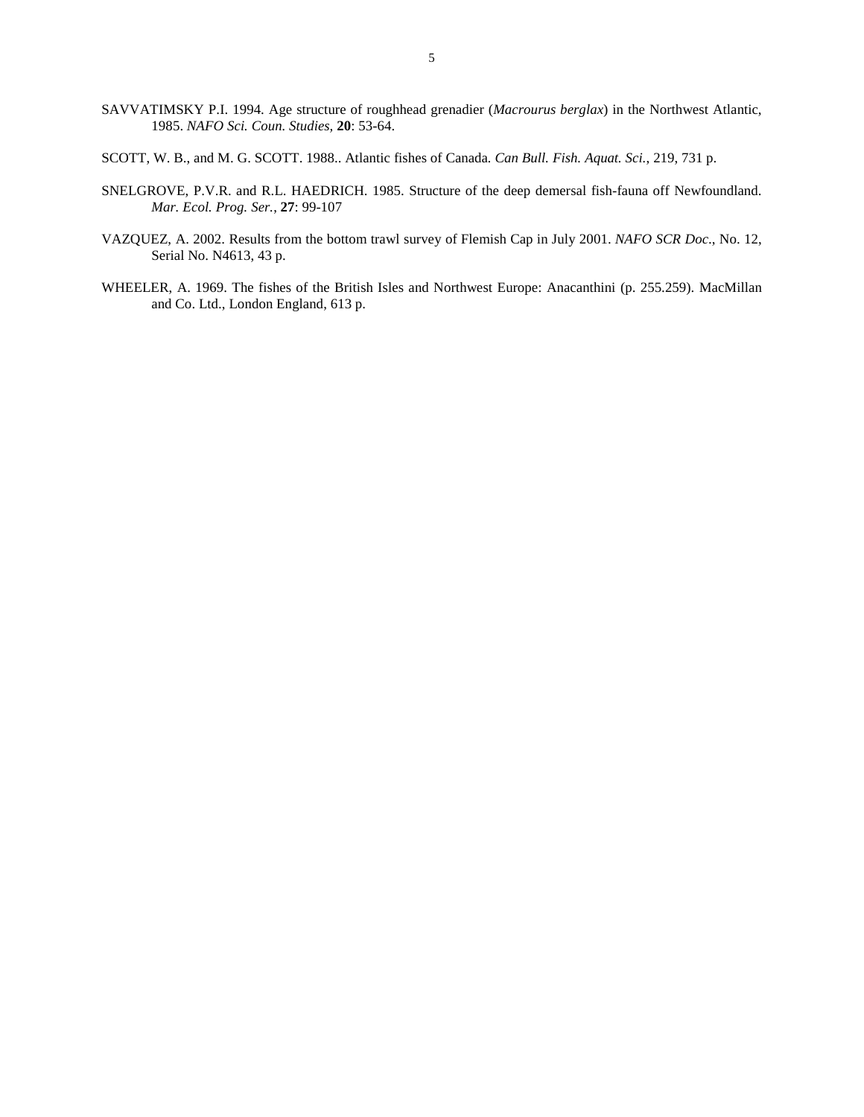- SAVVATIMSKY P.I. 1994. Age structure of roughhead grenadier (*Macrourus berglax*) in the Northwest Atlantic, 1985. *NAFO Sci. Coun. Studies,* **20**: 53-64.
- SCOTT, W. B., and M. G. SCOTT. 1988.. Atlantic fishes of Canada*. Can Bull. Fish. Aquat. Sci.*, 219, 731 p.
- SNELGROVE, P.V.R. and R.L. HAEDRICH. 1985. Structure of the deep demersal fish-fauna off Newfoundland. *Mar. Ecol. Prog. Ser.*, **27**: 99-107
- VAZQUEZ, A. 2002. Results from the bottom trawl survey of Flemish Cap in July 2001. *NAFO SCR Doc*., No. 12, Serial No. N4613, 43 p.
- WHEELER, A. 1969. The fishes of the British Isles and Northwest Europe: Anacanthini (p. 255.259). MacMillan and Co. Ltd., London England, 613 p.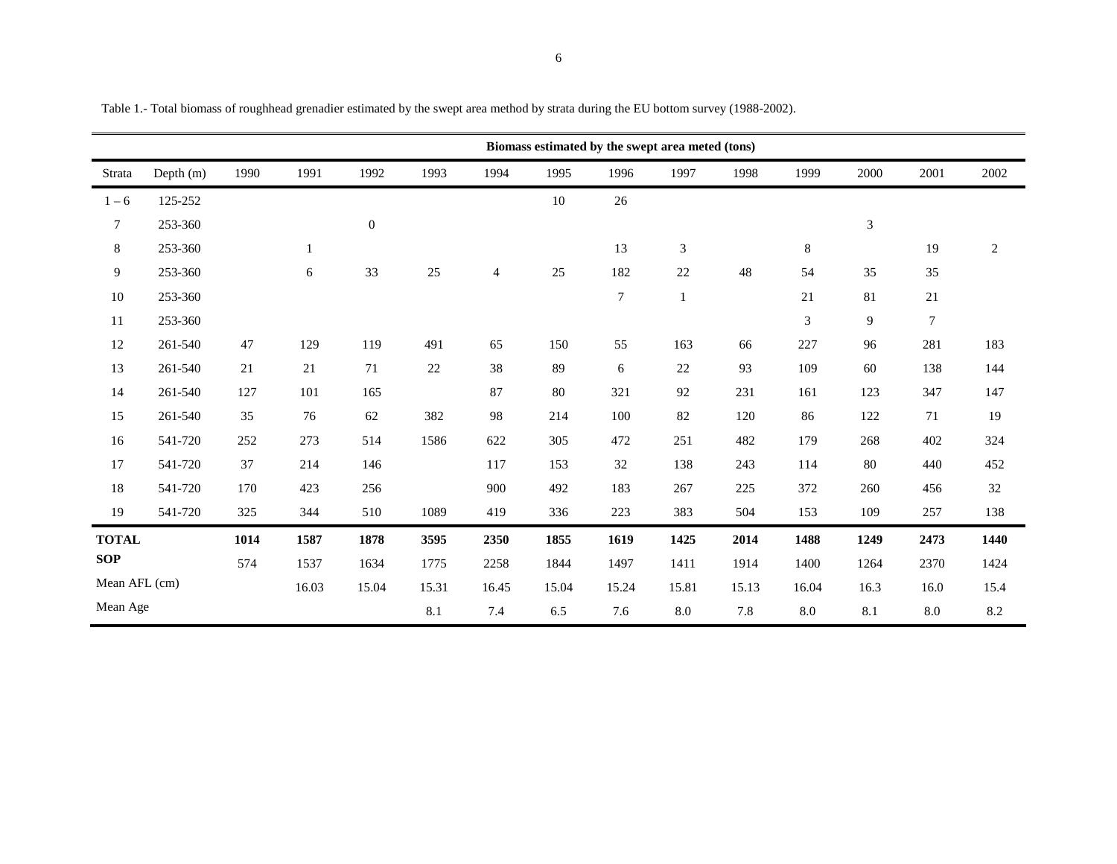|                  |           |      |       |                  |       |                |       | Biomass estimated by the swept area meted (tons) |              |       |                |                |        |            |
|------------------|-----------|------|-------|------------------|-------|----------------|-------|--------------------------------------------------|--------------|-------|----------------|----------------|--------|------------|
| Strata           | Depth (m) | 1990 | 1991  | 1992             | 1993  | 1994           | 1995  | 1996                                             | 1997         | 1998  | 1999           | 2000           | 2001   | 2002       |
| $1 - 6$          | 125-252   |      |       |                  |       |                | 10    | 26                                               |              |       |                |                |        |            |
| $\boldsymbol{7}$ | 253-360   |      |       | $\boldsymbol{0}$ |       |                |       |                                                  |              |       |                | $\mathfrak{Z}$ |        |            |
| $\,8\,$          | 253-360   |      | 1     |                  |       |                |       | 13                                               | $\sqrt{3}$   |       | $8\,$          |                | 19     | $\sqrt{2}$ |
| $\overline{9}$   | 253-360   |      | 6     | 33               | 25    | $\overline{4}$ | 25    | 182                                              | 22           | 48    | 54             | 35             | 35     |            |
| 10               | 253-360   |      |       |                  |       |                |       | $\boldsymbol{7}$                                 | $\mathbf{1}$ |       | 21             | 81             | $21\,$ |            |
| 11               | 253-360   |      |       |                  |       |                |       |                                                  |              |       | $\mathfrak{Z}$ | 9              | $\tau$ |            |
| 12               | 261-540   | 47   | 129   | 119              | 491   | 65             | 150   | 55                                               | 163          | 66    | 227            | 96             | 281    | 183        |
| 13               | 261-540   | 21   | 21    | 71               | 22    | 38             | 89    | 6                                                | 22           | 93    | 109            | 60             | 138    | 144        |
| 14               | 261-540   | 127  | 101   | 165              |       | 87             | 80    | 321                                              | 92           | 231   | 161            | 123            | 347    | 147        |
| 15               | 261-540   | 35   | 76    | 62               | 382   | 98             | 214   | 100                                              | 82           | 120   | 86             | 122            | 71     | 19         |
| 16               | 541-720   | 252  | 273   | 514              | 1586  | 622            | 305   | 472                                              | 251          | 482   | 179            | 268            | 402    | 324        |
| 17               | 541-720   | 37   | 214   | 146              |       | 117            | 153   | 32                                               | 138          | 243   | 114            | 80             | 440    | 452        |
| 18               | 541-720   | 170  | 423   | 256              |       | 900            | 492   | 183                                              | 267          | 225   | 372            | 260            | 456    | 32         |
| 19               | 541-720   | 325  | 344   | 510              | 1089  | 419            | 336   | 223                                              | 383          | 504   | 153            | 109            | 257    | 138        |
| <b>TOTAL</b>     |           | 1014 | 1587  | 1878             | 3595  | 2350           | 1855  | 1619                                             | 1425         | 2014  | 1488           | 1249           | 2473   | 1440       |
| <b>SOP</b>       |           | 574  | 1537  | 1634             | 1775  | 2258           | 1844  | 1497                                             | 1411         | 1914  | 1400           | 1264           | 2370   | 1424       |
| Mean AFL (cm)    |           |      | 16.03 | 15.04            | 15.31 | 16.45          | 15.04 | 15.24                                            | 15.81        | 15.13 | 16.04          | 16.3           | 16.0   | 15.4       |
| Mean Age         |           |      |       |                  | 8.1   | 7.4            | 6.5   | 7.6                                              | 8.0          | 7.8   | 8.0            | 8.1            | 8.0    | 8.2        |

Table 1.- Total biomass of roughhead grenadier estimated by the swept area method by strata during the EU bottom survey (1988-2002).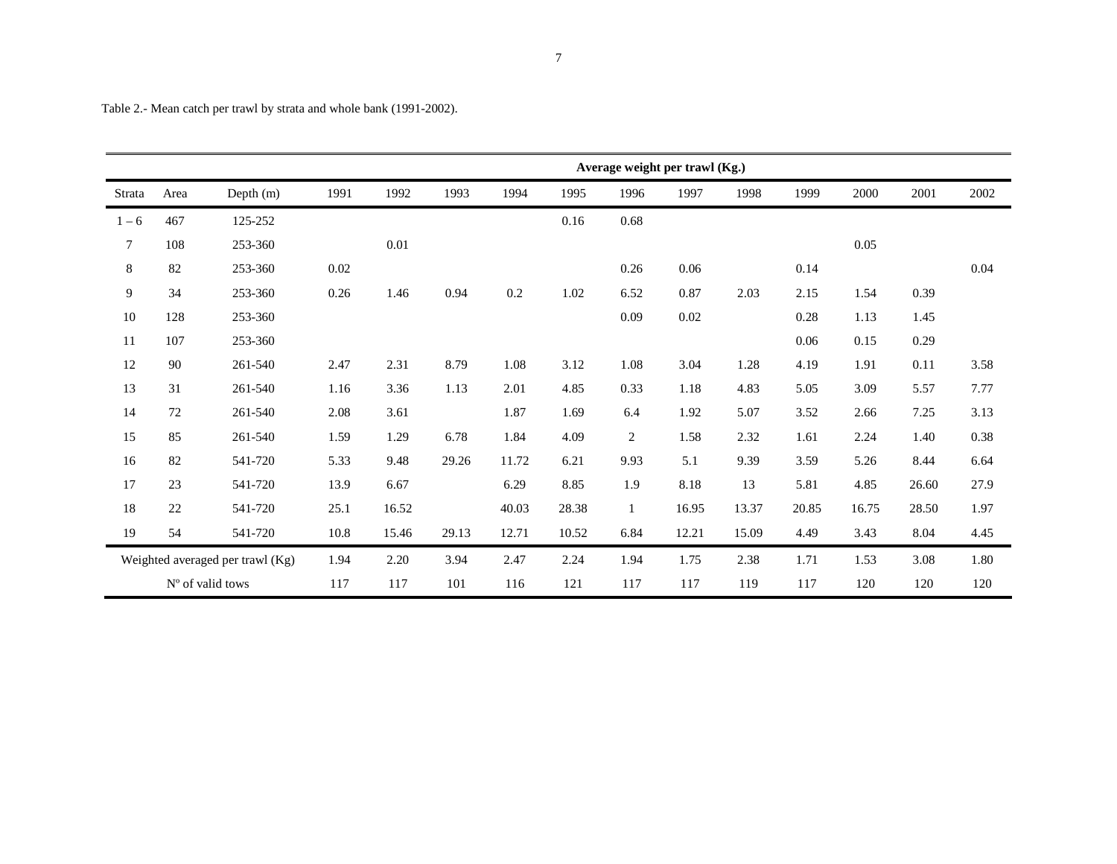|         |      |                                  |          | Average weight per trawl (Kg.) |       |       |       |                |       |       |       |       |       |      |
|---------|------|----------------------------------|----------|--------------------------------|-------|-------|-------|----------------|-------|-------|-------|-------|-------|------|
|         |      |                                  |          |                                |       |       |       |                |       |       |       |       |       |      |
| Strata  | Area | Depth (m)                        | 1991     | 1992                           | 1993  | 1994  | 1995  | 1996           | 1997  | 1998  | 1999  | 2000  | 2001  | 2002 |
| $1 - 6$ | 467  | 125-252                          |          |                                |       |       | 0.16  | 0.68           |       |       |       |       |       |      |
| $\tau$  | 108  | 253-360                          |          | 0.01                           |       |       |       |                |       |       |       | 0.05  |       |      |
| $\,8\,$ | 82   | 253-360                          | $0.02\,$ |                                |       |       |       | 0.26           | 0.06  |       | 0.14  |       |       | 0.04 |
| 9       | 34   | 253-360                          | 0.26     | 1.46                           | 0.94  | 0.2   | 1.02  | 6.52           | 0.87  | 2.03  | 2.15  | 1.54  | 0.39  |      |
| 10      | 128  | 253-360                          |          |                                |       |       |       | 0.09           | 0.02  |       | 0.28  | 1.13  | 1.45  |      |
| 11      | 107  | 253-360                          |          |                                |       |       |       |                |       |       | 0.06  | 0.15  | 0.29  |      |
| 12      | 90   | 261-540                          | 2.47     | 2.31                           | 8.79  | 1.08  | 3.12  | 1.08           | 3.04  | 1.28  | 4.19  | 1.91  | 0.11  | 3.58 |
| 13      | 31   | 261-540                          | 1.16     | 3.36                           | 1.13  | 2.01  | 4.85  | 0.33           | 1.18  | 4.83  | 5.05  | 3.09  | 5.57  | 7.77 |
| 14      | 72   | 261-540                          | 2.08     | 3.61                           |       | 1.87  | 1.69  | 6.4            | 1.92  | 5.07  | 3.52  | 2.66  | 7.25  | 3.13 |
| 15      | 85   | 261-540                          | 1.59     | 1.29                           | 6.78  | 1.84  | 4.09  | $\overline{2}$ | 1.58  | 2.32  | 1.61  | 2.24  | 1.40  | 0.38 |
| 16      | 82   | 541-720                          | 5.33     | 9.48                           | 29.26 | 11.72 | 6.21  | 9.93           | 5.1   | 9.39  | 3.59  | 5.26  | 8.44  | 6.64 |
| 17      | 23   | 541-720                          | 13.9     | 6.67                           |       | 6.29  | 8.85  | 1.9            | 8.18  | 13    | 5.81  | 4.85  | 26.60 | 27.9 |
| $18\,$  | 22   | 541-720                          | 25.1     | 16.52                          |       | 40.03 | 28.38 | $\mathbf{1}$   | 16.95 | 13.37 | 20.85 | 16.75 | 28.50 | 1.97 |
| 19      | 54   | 541-720                          | 10.8     | 15.46                          | 29.13 | 12.71 | 10.52 | 6.84           | 12.21 | 15.09 | 4.49  | 3.43  | 8.04  | 4.45 |
|         |      | Weighted averaged per trawl (Kg) | 1.94     | 2.20                           | 3.94  | 2.47  | 2.24  | 1.94           | 1.75  | 2.38  | 1.71  | 1.53  | 3.08  | 1.80 |
|         |      | N° of valid tows                 | 117      | 117                            | 101   | 116   | 121   | 117            | 117   | 119   | 117   | 120   | 120   | 120  |

Table 2.- Mean catch per trawl by strata and whole bank (1991-2002).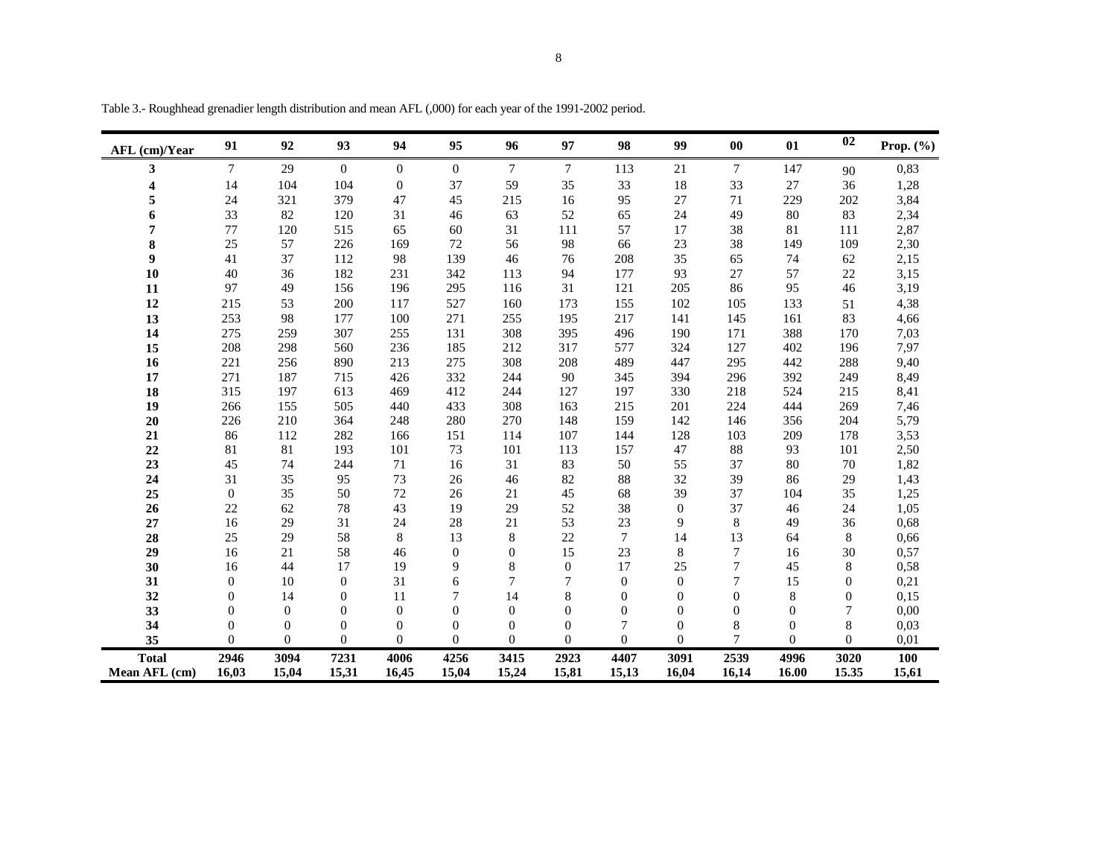| AFL (cm)/Year | 91             | 92             | 93             | 94             | 95             | 96             | 97             | 98           | 99                  | 00           | 01             | 02           | Prop. $(\% )$ |
|---------------|----------------|----------------|----------------|----------------|----------------|----------------|----------------|--------------|---------------------|--------------|----------------|--------------|---------------|
| 3             | $\tau$         | 29             | $\overline{0}$ | $\overline{0}$ | $\overline{0}$ | $\tau$         | $\tau$         | 113          | 21                  | 7            | 147            | 90           | 0,83          |
| 4             | 14             | 104            | 104            | $\mathbf{0}$   | 37             | 59             | 35             | 33           | 18                  | 33           | 27             | 36           | 1,28          |
| 5             | 24             | 321            | 379            | 47             | 45             | 215            | 16             | 95           | 27                  | 71           | 229            | 202          | 3,84          |
| 6             | 33             | 82             | 120            | 31             | 46             | 63             | 52             | 65           | 24                  | 49           | 80             | 83           | 2,34          |
| 7             | 77             | 120            | 515            | 65             | 60             | 31             | 111            | 57           | 17                  | 38           | 81             | 111          | 2,87          |
| 8             | 25             | 57             | 226            | 169            | 72             | 56             | 98             | 66           | 23                  | 38           | 149            | 109          | 2,30          |
| 9             | 41             | 37             | 112            | 98             | 139            | 46             | 76             | 208          | 35                  | 65           | 74             | 62           | 2,15          |
| 10            | 40             | 36             | 182            | 231            | 342            | 113            | 94             | 177          | 93                  | 27           | 57             | 22           | 3,15          |
| 11            | 97             | 49             | 156            | 196            | 295            | 116            | 31             | 121          | 205                 | 86           | 95             | 46           | 3,19          |
| 12            | 215            | 53             | 200            | 117            | 527            | 160            | 173            | 155          | 102                 | 105          | 133            | 51           | 4,38          |
| 13            | 253            | 98             | 177            | 100            | 271            | 255            | 195            | 217          | 141                 | 145          | 161            | 83           | 4,66          |
| 14            | 275            | 259            | 307            | 255            | 131            | 308            | 395            | 496          | 190                 | 171          | 388            | 170          | 7,03          |
| 15            | 208            | 298            | 560            | 236            | 185            | 212            | 317            | 577          | 324                 | 127          | 402            | 196          | 7,97          |
| 16            | 221            | 256            | 890            | 213            | 275            | 308            | 208            | 489          | 447                 | 295          | 442            | 288          | 9,40          |
| 17            | 271            | 187            | 715            | 426            | 332            | 244            | 90             | 345          | 394                 | 296          | 392            | 249          | 8,49          |
| 18            | 315            | 197            | 613            | 469            | 412            | 244            | 127            | 197          | 330                 | 218          | 524            | 215          | 8,41          |
| 19            | 266            | 155            | 505            | 440            | 433            | 308            | 163            | 215          | 201                 | 224          | 444            | 269          | 7,46          |
| 20            | 226            | 210            | 364            | 248            | 280            | 270            | 148            | 159          | 142                 | 146          | 356            | 204          | 5,79          |
| 21            | 86             | 112            | 282            | 166            | 151            | 114            | 107            | 144          | 128                 | 103          | 209            | 178          | 3,53          |
| 22            | 81             | 81             | 193            | 101            | 73             | 101            | 113            | 157          | 47                  | 88           | 93             | 101          | 2,50          |
| 23            | 45             | 74             | 244            | 71             | 16             | 31             | 83             | 50           | 55                  | 37           | 80             | 70           | 1,82          |
| 24            | 31             | 35             | 95             | 73             | 26             | 46             | 82             | 88           | 32                  | 39           | 86             | 29           | 1,43          |
| 25            | $\mathbf{0}$   | 35<br>62       | 50             | 72<br>43       | 26             | 21<br>29       | 45             | 68<br>38     | 39                  | 37<br>37     | 104<br>46      | 35<br>24     | 1,25          |
| 26<br>27      | 22<br>16       | 29             | 78<br>31       | 24             | 19<br>28       | 21             | 52<br>53       | 23           | $\overline{0}$<br>9 | 8            | 49             | 36           | 1,05<br>0,68  |
| 28            | 25             | 29             | 58             | 8              | 13             | 8              | 22             | $\tau$       | 14                  | 13           | 64             | 8            | 0,66          |
| 29            | 16             | 21             | 58             | 46             | $\theta$       | $\theta$       | 15             | 23           | 8                   | $\tau$       | 16             | 30           | 0.57          |
| 30            | 16             | 44             | 17             | 19             | 9              | 8              | $\overline{0}$ | 17           | 25                  | 7            | 45             | 8            | 0,58          |
| 31            | $\mathbf{0}$   | 10             | $\mathbf{0}$   | 31             | 6              | 7              | 7              | $\Omega$     | $\Omega$            | 7            | 15             | $\mathbf{0}$ | 0,21          |
| 32            | $\Omega$       | 14             | $\overline{0}$ | 11             | 7              | 14             | 8              | $\mathbf{0}$ | $\Omega$            | $\mathbf{0}$ | 8              | $\theta$     | 0,15          |
| 33            | $\overline{0}$ | $\overline{0}$ | $\overline{0}$ | $\overline{0}$ | $\overline{0}$ | $\overline{0}$ | $\overline{0}$ | $\mathbf{0}$ | $\overline{0}$      | $\mathbf{0}$ | $\overline{0}$ | 7            | 0,00          |
| 34            | $\Omega$       | $\Omega$       | $\theta$       | $\Omega$       | $\Omega$       | $\Omega$       | $\Omega$       | 7            | $\Omega$            | 8            | $\Omega$       | 8            | 0,03          |
| 35            | $\Omega$       | $\Omega$       | $\Omega$       | $\Omega$       | $\Omega$       | $\Omega$       | $\Omega$       | $\Omega$     | $\Omega$            | 7            | $\Omega$       | $\Omega$     | 0,01          |
| <b>Total</b>  | 2946           | 3094           | 7231           | 4006           | 4256           | 3415           | 2923           | 4407         | 3091                | 2539         | 4996           | 3020         | 100           |
| Mean AFL (cm) | 16.03          | 15.04          | 15.31          | 16.45          | 15.04          | 15.24          | 15,81          | 15.13        | 16.04               | 16.14        | 16.00          | 15.35        | 15,61         |

Table 3.- Roughhead grenadier length distribution and mean AFL (,000) for each year of the 1991-2002 period.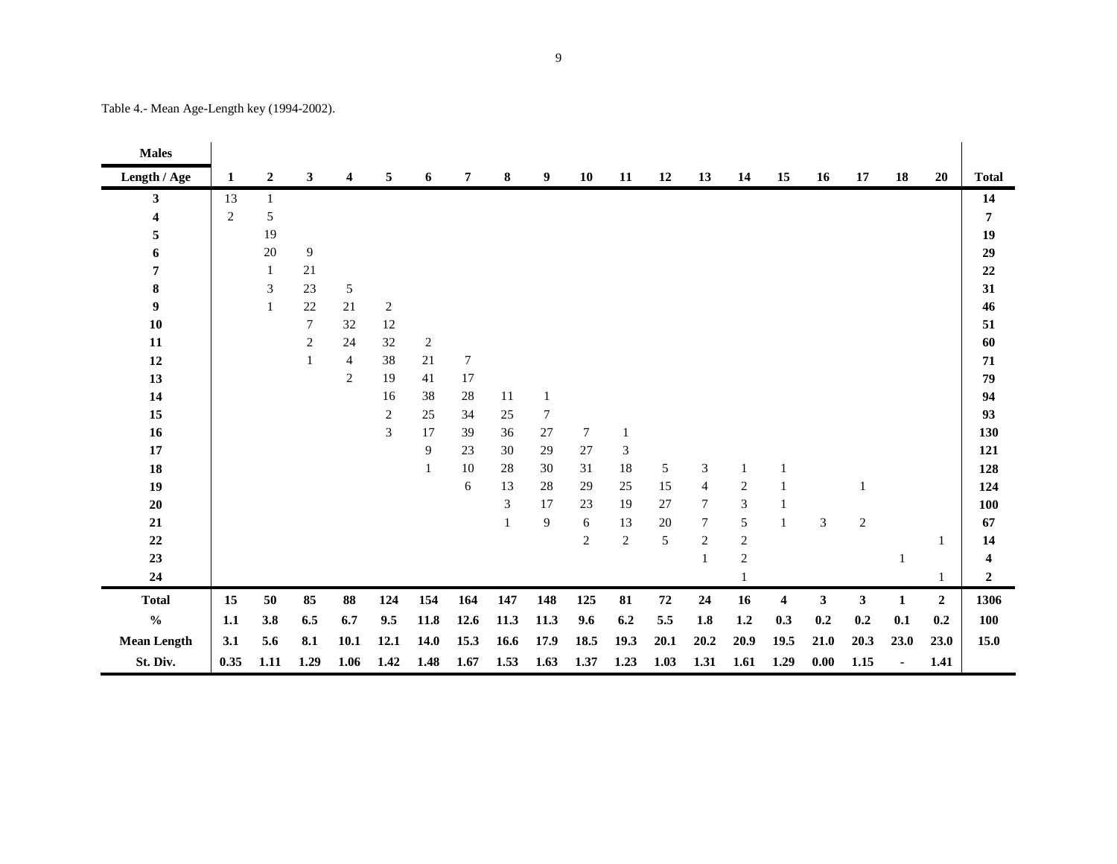| <b>Males</b>       |                |              |                |                |            |        |                  |              |                |                |                |            |                |                |                         |              |                |              |                |                |
|--------------------|----------------|--------------|----------------|----------------|------------|--------|------------------|--------------|----------------|----------------|----------------|------------|----------------|----------------|-------------------------|--------------|----------------|--------------|----------------|----------------|
| Length / Age       | 1              | $\mathbf{2}$ | 3              | 4              | 5          | 6      | 7                | 8            | 9              | 10             | 11             | 12         | 13             | 14             | 15                      | 16           | 17             | 18           | 20             | <b>Total</b>   |
| $\mathbf{3}$       | 13             | $\mathbf{1}$ |                |                |            |        |                  |              |                |                |                |            |                |                |                         |              |                |              |                | 14             |
| 4                  | $\overline{2}$ | 5            |                |                |            |        |                  |              |                |                |                |            |                |                |                         |              |                |              |                | 7              |
| 5                  |                | 19           |                |                |            |        |                  |              |                |                |                |            |                |                |                         |              |                |              |                | 19             |
| 6                  |                | 20           | 9              |                |            |        |                  |              |                |                |                |            |                |                |                         |              |                |              |                | 29             |
| $\pmb{7}$          |                | $\mathbf{1}$ | 21             |                |            |        |                  |              |                |                |                |            |                |                |                         |              |                |              |                | $\bf{22}$      |
| ${\bf 8}$          |                | 3            | 23             | 5              |            |        |                  |              |                |                |                |            |                |                |                         |              |                |              |                | 31             |
| $\boldsymbol{9}$   |                | $\mathbf{1}$ | $22\,$         | 21             | $\sqrt{2}$ |        |                  |              |                |                |                |            |                |                |                         |              |                |              |                | 46             |
| 10                 |                |              | $\overline{7}$ | 32             | 12         |        |                  |              |                |                |                |            |                |                |                         |              |                |              |                | 51             |
| 11                 |                |              | $\overline{c}$ | 24             | 32         | 2      |                  |              |                |                |                |            |                |                |                         |              |                |              |                | 60             |
| 12                 |                |              | 1              | $\overline{4}$ | 38         | $21\,$ | $\boldsymbol{7}$ |              |                |                |                |            |                |                |                         |              |                |              |                | 71             |
| 13                 |                |              |                | $\overline{c}$ | 19         | 41     | $17\,$           |              |                |                |                |            |                |                |                         |              |                |              |                | 79             |
| 14                 |                |              |                |                | 16         | 38     | 28               | 11           | 1              |                |                |            |                |                |                         |              |                |              |                | 94             |
| 15                 |                |              |                |                | 2          | 25     | 34               | 25           | $\tau$         |                |                |            |                |                |                         |              |                |              |                | 93             |
| 16                 |                |              |                |                | 3          | 17     | 39               | 36           | $27\,$         | $\tau$         |                |            |                |                |                         |              |                |              |                | 130            |
| 17                 |                |              |                |                |            | 9      | 23               | 30           | 29             | 27             | 3              |            |                |                |                         |              |                |              |                | 121            |
| 18                 |                |              |                |                |            | 1      | 10               | 28           | 30             | 31             | 18             | 5          | 3              | 1              |                         |              |                |              |                | 128            |
| 19                 |                |              |                |                |            |        | 6                | 13           | 28             | 29             | 25             | 15         | $\overline{4}$ | $\overline{c}$ | $\mathbf{1}$            |              |                |              |                | 124            |
| $20\,$             |                |              |                |                |            |        |                  | 3            | 17             | 23             | 19             | 27         | $\tau$         | 3              |                         |              |                |              |                | 100            |
| 21                 |                |              |                |                |            |        |                  | $\mathbf{1}$ | $\overline{9}$ | 6              | 13             | $20\,$     | $\tau$         | 5              | 1                       | 3            | $\overline{2}$ |              |                | 67             |
| $22\,$             |                |              |                |                |            |        |                  |              |                | $\mathfrak{2}$ | $\overline{c}$ | 5          | $\overline{c}$ | $\sqrt{2}$     |                         |              |                |              | $\mathbf{1}$   | 14             |
| 23                 |                |              |                |                |            |        |                  |              |                |                |                |            | $\mathbf{1}$   | $\overline{c}$ |                         |              |                | 1            |                | 4              |
| 24                 |                |              |                |                |            |        |                  |              |                |                |                |            |                | 1              |                         |              |                |              | -1             | $\overline{2}$ |
| <b>Total</b>       | 15             | $50\,$       | 85             | 88             | 124        | 154    | 164              | 147          | 148            | 125            | 81             | ${\bf 72}$ | 24             | 16             | $\overline{\mathbf{4}}$ | $\mathbf{3}$ | 3              | $\mathbf{1}$ | $\overline{2}$ | 1306           |
| $\frac{0}{0}$      | 1.1            | 3.8          | 6.5            | 6.7            | 9.5        | 11.8   | 12.6             | 11.3         | 11.3           | 9.6            | 6.2            | 5.5        | 1.8            | 1.2            | 0.3                     | 0.2          | 0.2            | 0.1          | 0.2            | 100            |
| <b>Mean Length</b> | 3.1            | 5.6          | 8.1            | 10.1           | 12.1       | 14.0   | 15.3             | 16.6         | 17.9           | 18.5           | 19.3           | 20.1       | 20.2           | 20.9           | 19.5                    | 21.0         | 20.3           | 23.0         | 23.0           | 15.0           |
| St. Div.           | 0.35           | 1.11         | 1.29           | 1.06           | 1.42       | 1.48   | 1.67             | 1.53         | 1.63           | 1.37           | 1.23           | 1.03       | 1.31           | 1.61           | 1.29                    | 0.00         | 1.15           | ä,           | 1.41           |                |

Table 4.- Mean Age-Length key (1994-2002).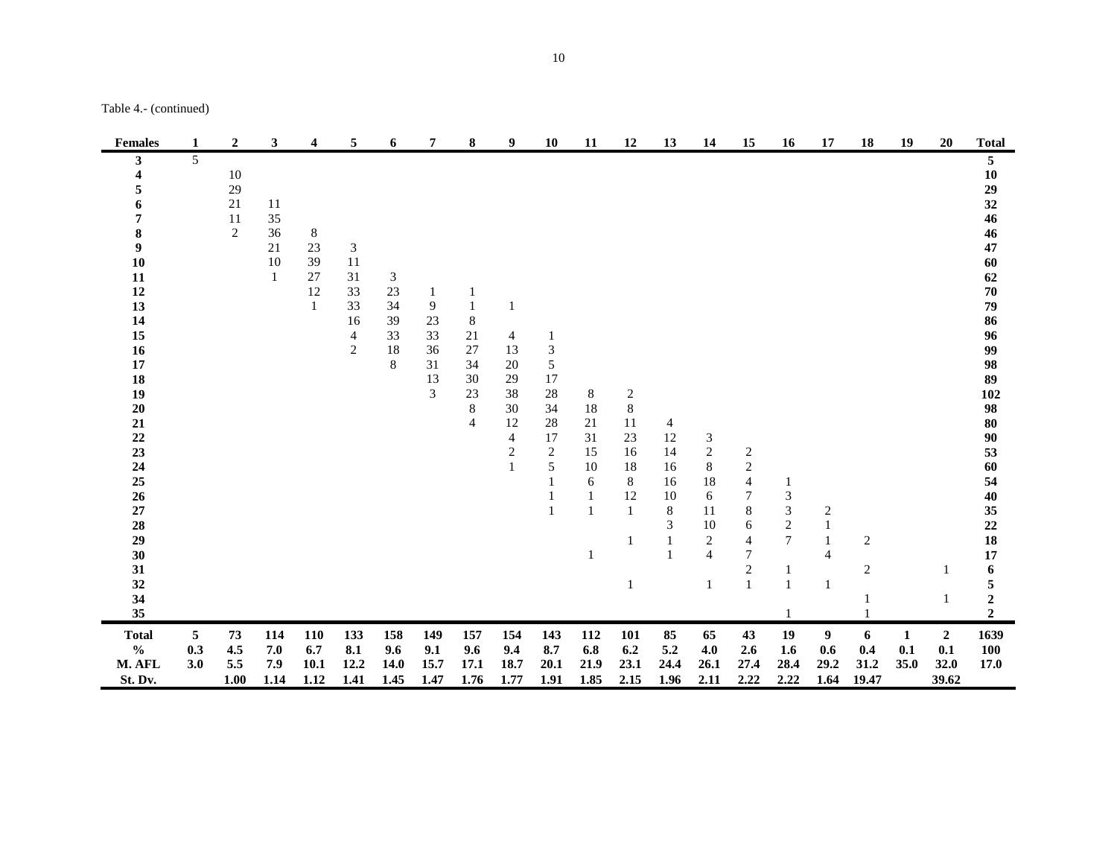| <b>Females</b>                                                                                                                                                                                                         | 1               | $\overline{2}$                         | 3                                          | 4                                         | 5                                                                                             | 6                                    | 7                                         | 8                                                                    | 9                                                                                              | <b>10</b>                                                                                                                                        | 11                                                      | 12                                                                                                           | 13                                                                                               | 14                                                                                                                 | 15                                                                                                                             | 16                                                                                            | 17                                                                    | 18                               | 19               | 20                                     | <b>Total</b>                                                                                                                                                                                       |
|------------------------------------------------------------------------------------------------------------------------------------------------------------------------------------------------------------------------|-----------------|----------------------------------------|--------------------------------------------|-------------------------------------------|-----------------------------------------------------------------------------------------------|--------------------------------------|-------------------------------------------|----------------------------------------------------------------------|------------------------------------------------------------------------------------------------|--------------------------------------------------------------------------------------------------------------------------------------------------|---------------------------------------------------------|--------------------------------------------------------------------------------------------------------------|--------------------------------------------------------------------------------------------------|--------------------------------------------------------------------------------------------------------------------|--------------------------------------------------------------------------------------------------------------------------------|-----------------------------------------------------------------------------------------------|-----------------------------------------------------------------------|----------------------------------|------------------|----------------------------------------|----------------------------------------------------------------------------------------------------------------------------------------------------------------------------------------------------|
| 3<br>4<br>5<br>6<br>7<br>$\bf 8$<br>$\boldsymbol{9}$<br>10<br>11<br>12<br>13<br>14<br>15<br>16<br>17<br>18<br>19<br>$20\,$<br>${\bf 21}$<br>22<br>23<br>24<br>25<br>26<br>$\bf 27$<br>28<br>29<br>30<br>31<br>32<br>34 | 5               | 10<br>29<br>21<br>11<br>$\overline{2}$ | 11<br>35<br>36<br>21<br>10<br>$\mathbf{1}$ | 8<br>23<br>39<br>27<br>12<br>$\mathbf{1}$ | $\ensuremath{\mathfrak{Z}}$<br>11<br>31<br>33<br>33<br>16<br>$\overline{4}$<br>$\overline{2}$ | 3<br>23<br>34<br>39<br>33<br>18<br>8 | 1<br>9<br>23<br>33<br>36<br>31<br>13<br>3 | 1<br>1<br>8<br>21<br>$27\,$<br>34<br>30<br>23<br>8<br>$\overline{4}$ | $\mathbf{1}$<br>4<br>13<br>$20\,$<br>29<br>38<br>30<br>12<br>$\overline{4}$<br>$\sqrt{2}$<br>1 | $\mathbf{1}$<br>$\ensuremath{\mathfrak{Z}}$<br>$\sqrt{5}$<br>17<br>28<br>34<br>$28\,$<br>17<br>$\overline{c}$<br>$\sqrt{5}$<br>$\mathbf{1}$<br>1 | 8<br>18<br>$21\,$<br>31<br>15<br>10<br>6<br>1<br>1<br>1 | $\overline{c}$<br>$\,8\,$<br>11<br>23<br>16<br>18<br>8<br>12<br>$\mathbf{1}$<br>$\mathbf{1}$<br>$\mathbf{1}$ | 4<br>$12\,$<br>14<br>16<br>16<br>10<br>$\,8\,$<br>$\mathfrak{Z}$<br>$\mathbf{1}$<br>$\mathbf{1}$ | $\mathfrak{Z}$<br>$\sqrt{2}$<br>$8\,$<br>18<br>6<br>11<br>10<br>$\boldsymbol{2}$<br>$\overline{4}$<br>$\mathbf{1}$ | $\overline{c}$<br>$\sqrt{2}$<br>4<br>7<br>$\,$ 8 $\,$<br>6<br>$\overline{4}$<br>$\boldsymbol{7}$<br>$\sqrt{2}$<br>$\mathbf{1}$ | 1<br>3<br>$\ensuremath{\mathfrak{Z}}$<br>$\sqrt{2}$<br>$\tau$<br>$\mathbf{1}$<br>$\mathbf{1}$ | $\boldsymbol{2}$<br>$\mathbf{1}$<br>$\mathbf{1}$<br>4<br>$\mathbf{1}$ | $\overline{c}$<br>$\overline{c}$ |                  | 1<br>1                                 | 5<br>10<br>29<br>32<br>46<br>46<br>47<br>60<br>62<br>70<br>79<br>86<br>96<br>99<br>98<br>89<br>102<br>98<br>80<br>90<br>53<br>60<br>54<br>40<br>35<br>22<br>18<br>17<br>6<br>5<br>$\boldsymbol{2}$ |
| 35                                                                                                                                                                                                                     |                 |                                        |                                            |                                           |                                                                                               |                                      |                                           |                                                                      |                                                                                                |                                                                                                                                                  |                                                         |                                                                                                              |                                                                                                  |                                                                                                                    |                                                                                                                                |                                                                                               |                                                                       |                                  |                  |                                        | $\overline{2}$                                                                                                                                                                                     |
| <b>Total</b><br>$\frac{0}{0}$<br>M. AFL<br>St. Dv.                                                                                                                                                                     | 5<br>0.3<br>3.0 | 73<br>4.5<br>$5.5\,$<br>1.00           | 114<br>7.0<br>7.9<br>1.14                  | <b>110</b><br>6.7<br>10.1<br>1.12         | 133<br>8.1<br>12.2<br>1.41                                                                    | 158<br>9.6<br>14.0<br>1.45           | 149<br>9.1<br>15.7<br>1.47                | 157<br>9.6<br>17.1<br>1.76                                           | 154<br>9.4<br>18.7<br>1.77                                                                     | 143<br>8.7<br>20.1<br>1.91                                                                                                                       | 112<br>6.8<br>21.9<br>1.85                              | 101<br>6.2<br>23.1<br>2.15                                                                                   | 85<br>5.2<br>24.4<br>1.96                                                                        | 65<br>4.0<br>26.1<br>2.11                                                                                          | 43<br>2.6<br>27.4<br>2.22                                                                                                      | 19<br>1.6<br>28.4<br>2.22                                                                     | 9<br>0.6<br>29.2<br>1.64                                              | 6<br>0.4<br>31.2<br>19.47        | 1<br>0.1<br>35.0 | $\overline{2}$<br>0.1<br>32.0<br>39.62 | 1639<br><b>100</b><br>17.0                                                                                                                                                                         |

Table 4.- (continued)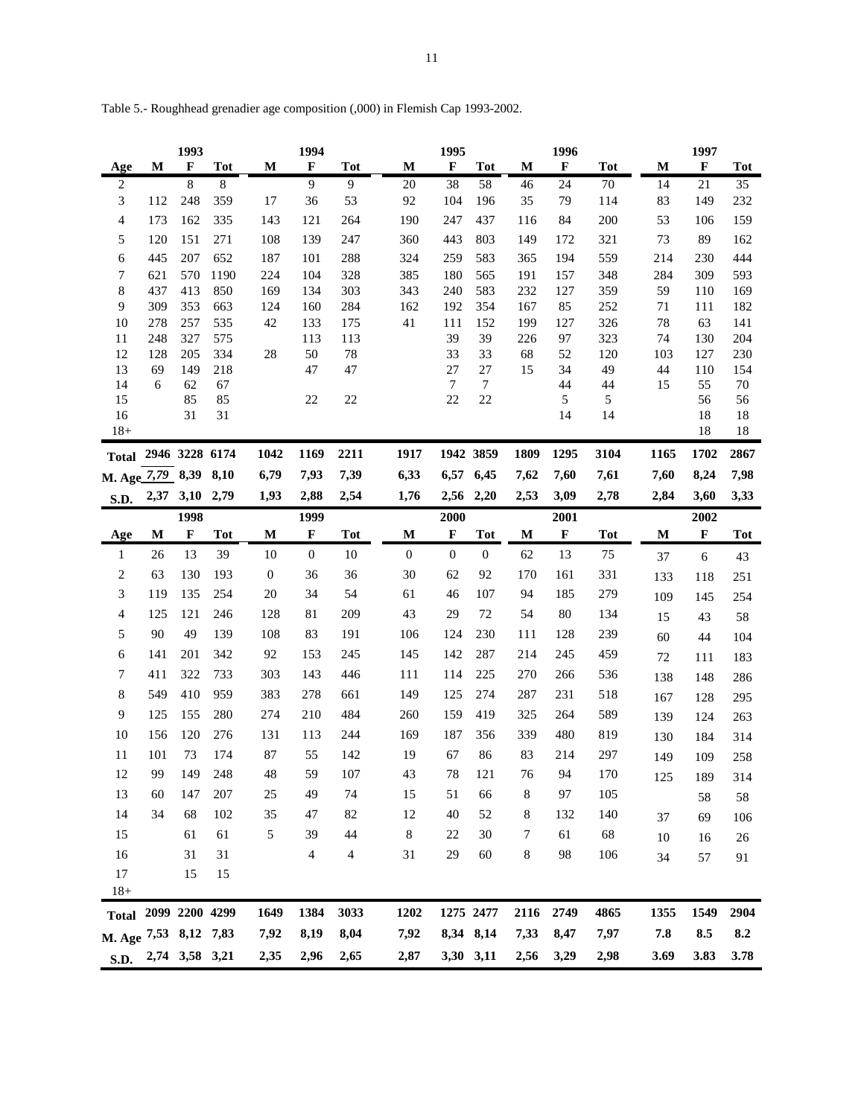|                       |            | 1993           |                |              | 1994             |                |                  | 1995             |                  |           | 1996        |            |           | 1997        |            |
|-----------------------|------------|----------------|----------------|--------------|------------------|----------------|------------------|------------------|------------------|-----------|-------------|------------|-----------|-------------|------------|
| Age                   | M          | $\mathbf F$    | <b>Tot</b>     | M            | $\mathbf F$      | <b>Tot</b>     | M                | $\mathbf F$      | <b>Tot</b>       | M         | $\mathbf F$ | <b>Tot</b> | M         | F           | Tot        |
| $\sqrt{2}$            |            | 8              | $\,8\,$        |              | 9                | $\overline{9}$ | $20\,$           | 38               | 58               | 46        | 24          | 70         | 14        | 21          | 35         |
| 3                     | 112        | 248            | 359            | 17           | 36               | 53             | 92               | 104              | 196              | 35        | 79          | 114        | 83        | 149         | 232        |
| 4                     | 173        | 162            | 335            | 143          | 121              | 264            | 190              | 247              | 437              | 116       | 84          | 200        | 53        | 106         | 159        |
| 5                     | 120        | 151            | 271            | 108          | 139              | 247            | 360              | 443              | 803              | 149       | 172         | 321        | 73        | 89          | 162        |
| 6                     | 445        | 207            | 652            | 187          | 101              | 288            | 324              | 259              | 583              | 365       | 194         | 559        | 214       | 230         | 444        |
| 7                     | 621        | 570            | 1190           | 224          | 104              | 328            | 385              | 180              | 565              | 191       | 157         | 348        | 284       | 309         | 593        |
| $\,$ 8 $\,$           | 437        | 413            | 850            | 169          | 134              | 303            | 343              | 240              | 583              | 232       | 127         | 359        | 59        | 110         | 169        |
| 9                     | 309        | 353            | 663            | 124          | 160              | 284            | 162              | 192              | 354              | 167       | 85          | 252        | $71\,$    | 111         | 182        |
| 10                    | 278        | 257            | 535            | 42           | 133              | 175            | 41               | 111<br>39        | 152<br>39        | 199       | 127         | 326        | 78        | 63          | 141        |
| 11<br>12              | 248<br>128 | 327<br>205     | 575<br>334     | 28           | 113<br>50        | 113<br>78      |                  | 33               | 33               | 226<br>68 | 97<br>52    | 323<br>120 | 74<br>103 | 130<br>127  | 204<br>230 |
| 13                    | 69         | 149            | 218            |              | 47               | $47\,$         |                  | 27               | 27               | 15        | 34          | 49         | 44        | 110         | 154        |
| 14                    | 6          | 62             | 67             |              |                  |                |                  | $\tau$           | $\tau$           |           | 44          | 44         | 15        | 55          | 70         |
| 15                    |            | 85             | 85             |              | 22               | $22\,$         |                  | $22\,$           | $22\,$           |           | 5           | 5          |           | 56          | 56         |
| 16                    |            | 31             | 31             |              |                  |                |                  |                  |                  |           | 14          | 14         |           | 18          | 18         |
| $18+$                 |            |                |                |              |                  |                |                  |                  |                  |           |             |            |           | 18          | 18         |
| <b>Total</b>          |            |                | 2946 3228 6174 | 1042         | 1169             | 2211           | 1917             |                  | 1942 3859        | 1809      | 1295        | 3104       | 1165      | 1702        | 2867       |
| M. Age 7,79 8,39      |            |                | 8,10           | 6,79         | 7,93             | 7,39           | 6,33             |                  | 6,57 6,45        | 7,62      | 7,60        | 7,61       | 7,60      | 8,24        | 7,98       |
| S.D.                  | 2,37       | 3,10           | 2,79           | 1,93         | 2,88             | 2,54           | 1,76             |                  | 2,56 2,20        | 2,53      | 3,09        | 2,78       | 2,84      | 3,60        | 3,33       |
|                       |            | 1998           |                |              | 1999             |                |                  | 2000             |                  |           | 2001        |            |           | 2002        |            |
| Age                   | M          | $\mathbf{F}$   | <b>Tot</b>     | M            | $\mathbf F$      | <b>Tot</b>     | М                | F                | <b>Tot</b>       | M         | F           | <b>Tot</b> | M         | $\mathbf F$ | <b>Tot</b> |
| $\mathbf{1}$          | 26         | 13             | 39             | 10           | $\boldsymbol{0}$ | 10             | $\boldsymbol{0}$ | $\boldsymbol{0}$ | $\boldsymbol{0}$ | 62        | 13          | 75         | 37        | 6           | 43         |
| $\overline{c}$        | 63         | 130            | 193            | $\mathbf{0}$ | 36               | 36             | 30               | 62               | 92               | 170       | 161         | 331        | 133       | 118         | 251        |
| 3                     | 119        | 135            | 254            | 20           | 34               | 54             | 61               | 46               | 107              | 94        | 185         | 279        | 109       | 145         | 254        |
| 4                     | 125        | 121            | 246            | 128          | 81               | 209            | 43               | 29               | 72               | 54        | 80          | 134        | 15        | 43          | 58         |
| 5                     | 90         | 49             | 139            | 108          | 83               | 191            | 106              | 124              | 230              | 111       | 128         | 239        | 60        | 44          | 104        |
| 6                     | 141        | 201            | 342            | 92           | 153              | 245            | 145              | 142              | 287              | 214       | 245         | 459        | $72\,$    | 111         | 183        |
| 7                     | 411        | 322            | 733            | 303          | 143              | 446            | 111              | 114              | 225              | 270       | 266         | 536        | 138       | 148         | 286        |
| 8                     | 549        | 410            | 959            | 383          | 278              | 661            | 149              | 125              | 274              | 287       | 231         | 518        |           | 128         |            |
| 9                     | 125        | 155            | 280            | 274          | 210              | 484            | 260              | 159              | 419              | 325       | 264         | 589        | 167       |             | 295        |
|                       |            |                |                |              |                  |                |                  |                  |                  |           |             |            | 139       | 124         | 263        |
| 10                    | 156        | 120            | 276            | 131          | 113              | 244            | 169              | 187              | 356              | 339       | 480         | 819        | 130       | 184         | 314        |
| 11                    | 101        | 73             | 174            | 87           | 55               | 142            | 19               | 67               | 86               | 83        | 214         | 297        | 149       | 109         | 258        |
| 12                    | 99         | 149            | 248            | 48           | 59               | 107            | 43               | 78               | 121              | 76        | 94          | 170        | 125       | 189         | 314        |
| 13                    | 60         | 147            | 207            | 25           | 49               | 74             | 15               | 51               | 66               | 8         | 97          | 105        |           | 58          | 58         |
| 14                    | 34         | 68             | 102            | 35           | 47               | 82             | 12               | $40\,$           | 52               | 8         | 132         | 140        | 37        | 69          | 106        |
| 15                    |            | 61             | 61             | 5            | 39               | 44             | 8                | 22               | 30               | 7         | 61          | 68         | $10\,$    | 16          | 26         |
| 16                    |            | 31             | 31             |              | $\overline{4}$   | $\overline{4}$ | 31               | 29               | 60               | 8         | 98          | 106        | 34        | 57          | 91         |
| $17\,$                |            | 15             | 15             |              |                  |                |                  |                  |                  |           |             |            |           |             |            |
| $18 +$                |            |                |                |              |                  |                |                  |                  |                  |           |             |            |           |             |            |
| Total 2099 2200 4299  |            |                |                | 1649         | 1384             | 3033           | 1202             |                  | 1275 2477        | 2116      | 2749        | 4865       | 1355      | 1549        | 2904       |
| M. Age 7,53 8,12 7,83 |            |                |                | 7,92         | 8,19             | 8,04           | 7,92             |                  | 8,34 8,14        | 7,33      | 8,47        | 7,97       | 7.8       | 8.5         | 8.2        |
| <b>S.D.</b>           |            | 2,74 3,58 3,21 |                | 2,35         | 2,96             | 2,65           | 2,87             |                  | 3,30 3,11        | 2,56      | 3,29        | 2,98       | 3.69      | 3.83        | 3.78       |
|                       |            |                |                |              |                  |                |                  |                  |                  |           |             |            |           |             |            |

Table 5.- Roughhead grenadier age composition (,000) in Flemish Cap 1993-2002.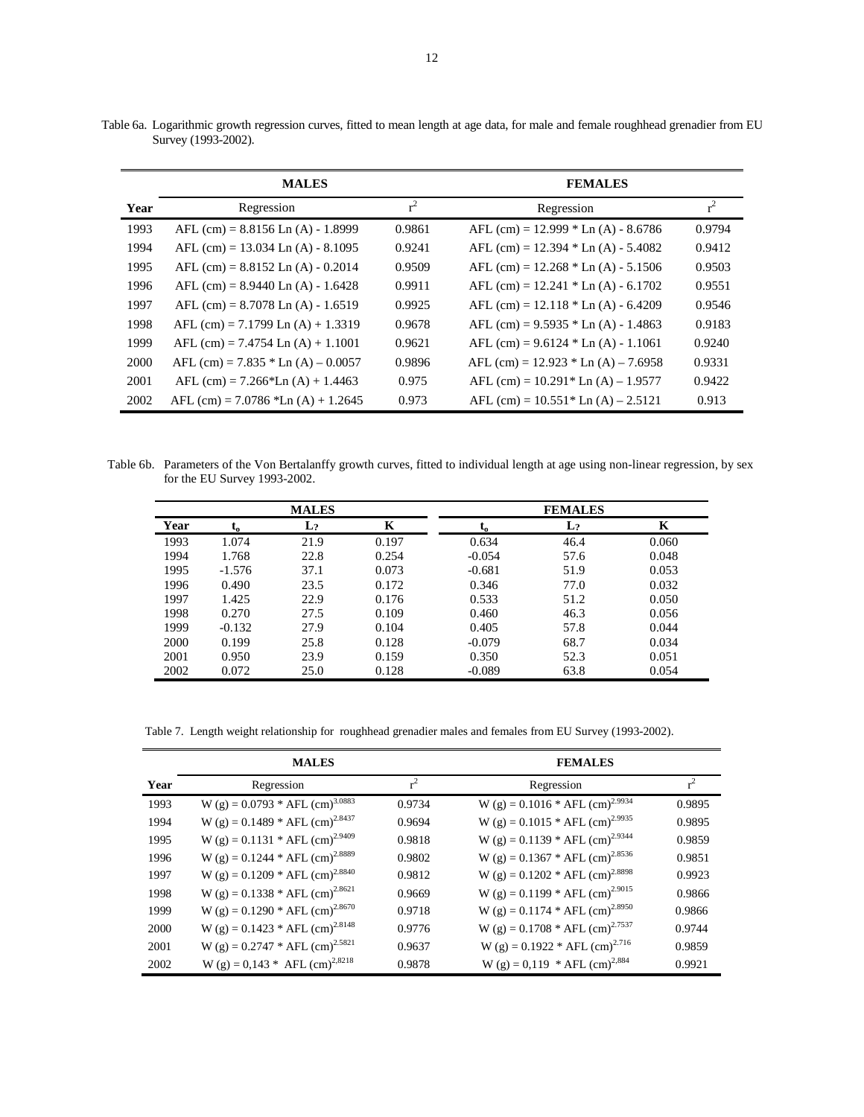|      | <b>MALES</b>                          |        | <b>FEMALES</b>                         |        |
|------|---------------------------------------|--------|----------------------------------------|--------|
| Year | Regression                            | $r^2$  | Regression                             | $r^2$  |
| 1993 | AFL $(cm) = 8.8156$ Ln $(A) - 1.8999$ | 0.9861 | AFL (cm) = $12.999 * Ln (A) - 8.6786$  | 0.9794 |
| 1994 | AFL $(cm) = 13.034$ Ln $(A) - 8.1095$ | 0.9241 | AFL (cm) = $12.394 * Ln (A) - 5.4082$  | 0.9412 |
| 1995 | AFL $(cm) = 8.8152$ Ln $(A) - 0.2014$ | 0.9509 | AFL (cm) = $12.268 *$ Ln (A) - 5.1506  | 0.9503 |
| 1996 | AFL (cm) = $8.9440$ Ln (A) - 1.6428   | 0.9911 | AFL (cm) = $12.241 * Ln(A) - 6.1702$   | 0.9551 |
| 1997 | AFL $(cm) = 8.7078$ Ln $(A) - 1.6519$ | 0.9925 | AFL $(cm) = 12.118 * Ln (A) - 6.4209$  | 0.9546 |
| 1998 | AFL $(cm) = 7.1799$ Ln $(A) + 1.3319$ | 0.9678 | AFL (cm) = $9.5935 *$ Ln (A) - 1.4863  | 0.9183 |
| 1999 | AFL $(cm) = 7.4754$ Ln $(A) + 1.1001$ | 0.9621 | AFL $(cm) = 9.6124 * Ln (A) - 1.1061$  | 0.9240 |
| 2000 | AFL (cm) = $7.835 *$ Ln (A) – 0.0057  | 0.9896 | AFL (cm) = $12.923 * Ln (A) - 7.6958$  | 0.9331 |
| 2001 | AFL (cm) = $7.266*$ Ln (A) + 1.4463   | 0.975  | AFL $(cm) = 10.291*$ Ln $(A) - 1.9577$ | 0.9422 |
| 2002 | AFL (cm) = $7.0786$ *Ln (A) + 1.2645  | 0.973  | AFL $(cm) = 10.551*$ Ln $(A) - 2.5121$ | 0.913  |

Table 6a. Logarithmic growth regression curves, fitted to mean length at age data, for male and female roughhead grenadier from EU Survey (1993-2002).

Table 6b. Parameters of the Von Bertalanffy growth curves, fitted to individual length at age using non-linear regression, by sex for the EU Survey 1993-2002.

|      |          | <b>MALES</b>   |       |          | <b>FEMALES</b> |       |
|------|----------|----------------|-------|----------|----------------|-------|
| Year | $L_0$    | $\mathbf{L}_2$ | K     | ւօ       | $\mathbf{L}_2$ | K     |
| 1993 | 1.074    | 21.9           | 0.197 | 0.634    | 46.4           | 0.060 |
| 1994 | 1.768    | 22.8           | 0.254 | $-0.054$ | 57.6           | 0.048 |
| 1995 | $-1.576$ | 37.1           | 0.073 | $-0.681$ | 51.9           | 0.053 |
| 1996 | 0.490    | 23.5           | 0.172 | 0.346    | 77.0           | 0.032 |
| 1997 | 1.425    | 22.9           | 0.176 | 0.533    | 51.2           | 0.050 |
| 1998 | 0.270    | 27.5           | 0.109 | 0.460    | 46.3           | 0.056 |
| 1999 | $-0.132$ | 27.9           | 0.104 | 0.405    | 57.8           | 0.044 |
| 2000 | 0.199    | 25.8           | 0.128 | $-0.079$ | 68.7           | 0.034 |
| 2001 | 0.950    | 23.9           | 0.159 | 0.350    | 52.3           | 0.051 |
| 2002 | 0.072    | 25.0           | 0.128 | $-0.089$ | 63.8           | 0.054 |

Table 7. Length weight relationship for roughhead grenadier males and females from EU Survey (1993-2002).

|      | <b>MALES</b>                                  |        | <b>FEMALES</b>                                |        |
|------|-----------------------------------------------|--------|-----------------------------------------------|--------|
| Year | Regression                                    | $r^2$  | Regression                                    | $r^2$  |
| 1993 | W (g) = $0.0793 * AFL$ (cm) <sup>3.0883</sup> | 0.9734 | W (g) = $0.1016 * AFL$ (cm) <sup>2.9934</sup> | 0.9895 |
| 1994 | W (g) = $0.1489 * AFL$ (cm) <sup>2.8437</sup> | 0.9694 | W (g) = $0.1015 * AFL$ (cm) <sup>2.9935</sup> | 0.9895 |
| 1995 | W (g) = $0.1131 * AFL$ (cm) <sup>2.9409</sup> | 0.9818 | W (g) = $0.1139 * AFL$ (cm) <sup>2.9344</sup> | 0.9859 |
| 1996 | W (g) = $0.1244 * AFL$ (cm) <sup>2.8889</sup> | 0.9802 | W (g) = $0.1367 * AFL$ (cm) <sup>2.8536</sup> | 0.9851 |
| 1997 | W (g) = $0.1209 * AFL$ (cm) <sup>2.8840</sup> | 0.9812 | W (g) = $0.1202 * AFL$ (cm) <sup>2.8898</sup> | 0.9923 |
| 1998 | W (g) = $0.1338 * AFL$ (cm) <sup>2.8621</sup> | 0.9669 | W (g) = $0.1199 * AFL$ (cm) <sup>2.9015</sup> | 0.9866 |
| 1999 | W (g) = $0.1290 * AFL$ (cm) <sup>2.8670</sup> | 0.9718 | W (g) = $0.1174 * AFL$ (cm) <sup>2.8950</sup> | 0.9866 |
| 2000 | W (g) = $0.1423$ * AFL (cm) <sup>2.8148</sup> | 0.9776 | W (g) = $0.1708 * AFL$ (cm) <sup>2.7537</sup> | 0.9744 |
| 2001 | W (g) = $0.2747 * AFL$ (cm) <sup>2.5821</sup> | 0.9637 | W (g) = $0.1922 * AFL$ (cm) <sup>2.716</sup>  | 0.9859 |
| 2002 | W (g) = $0,143$ * AFL (cm) <sup>2,8218</sup>  | 0.9878 | W (g) = 0,119 * AFL (cm) <sup>2,884</sup>     | 0.9921 |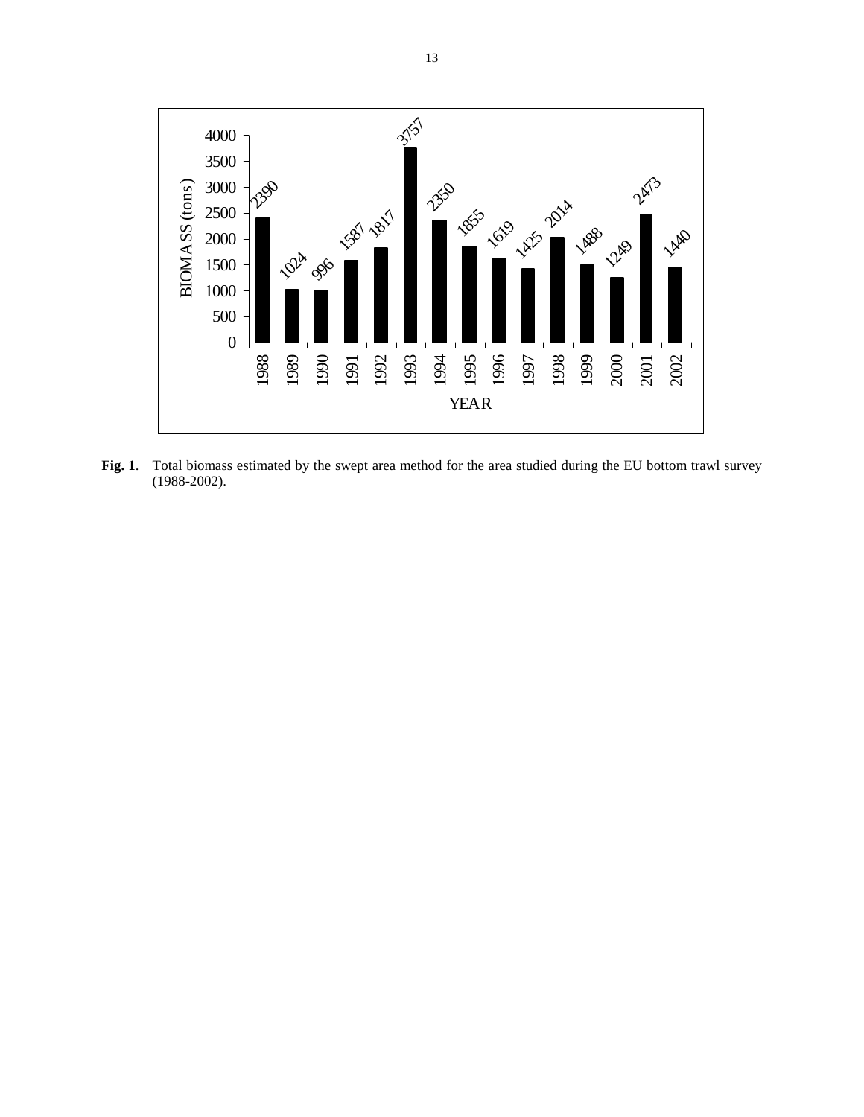

**Fig. 1**. Total biomass estimated by the swept area method for the area studied during the EU bottom trawl survey (1988-2002).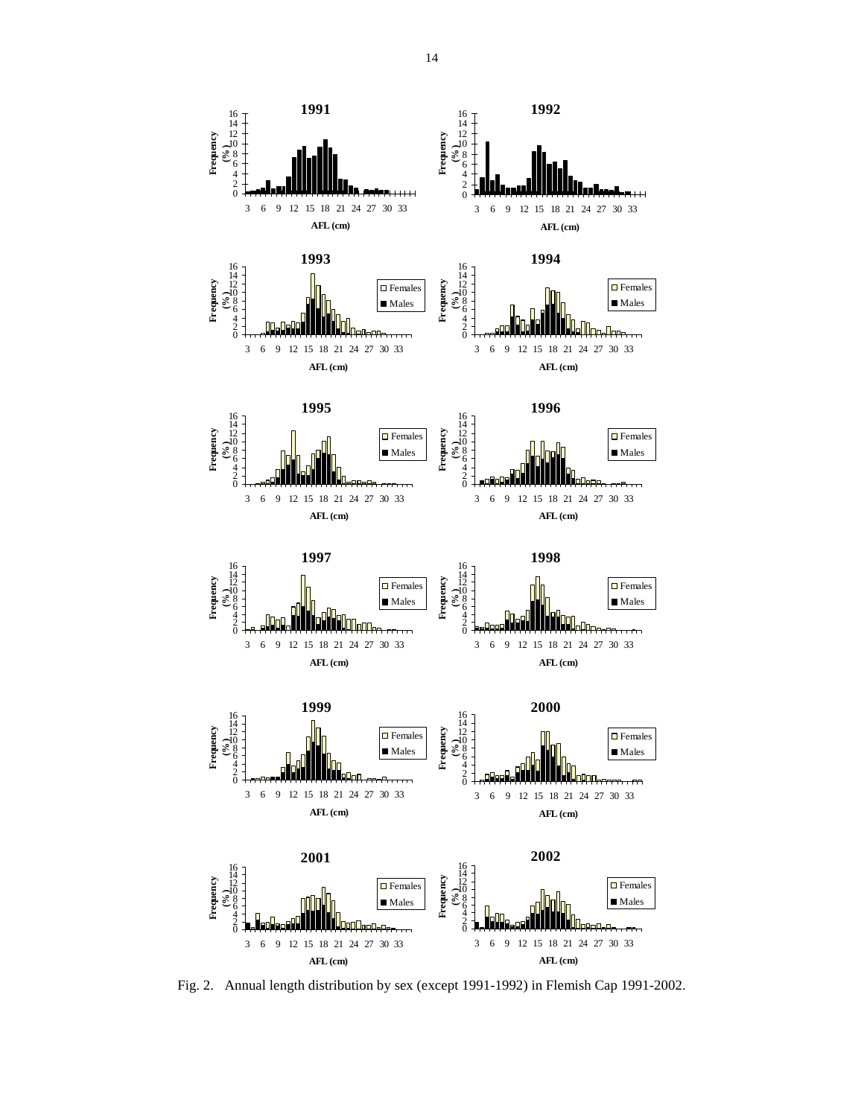

Fig. 2. Annual length distribution by sex (except 1991-1992) in Flemish Cap 1991-2002.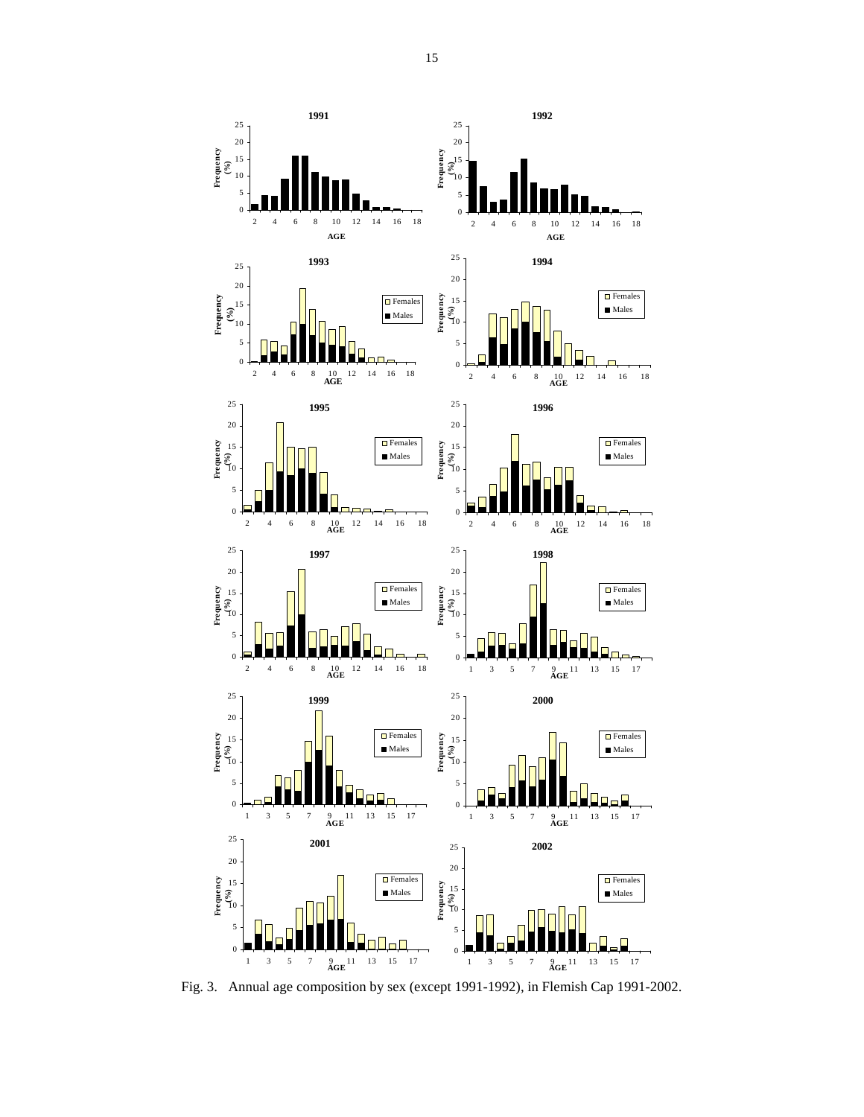

Fig. 3. Annual age composition by sex (except 1991-1992), in Flemish Cap 1991-2002.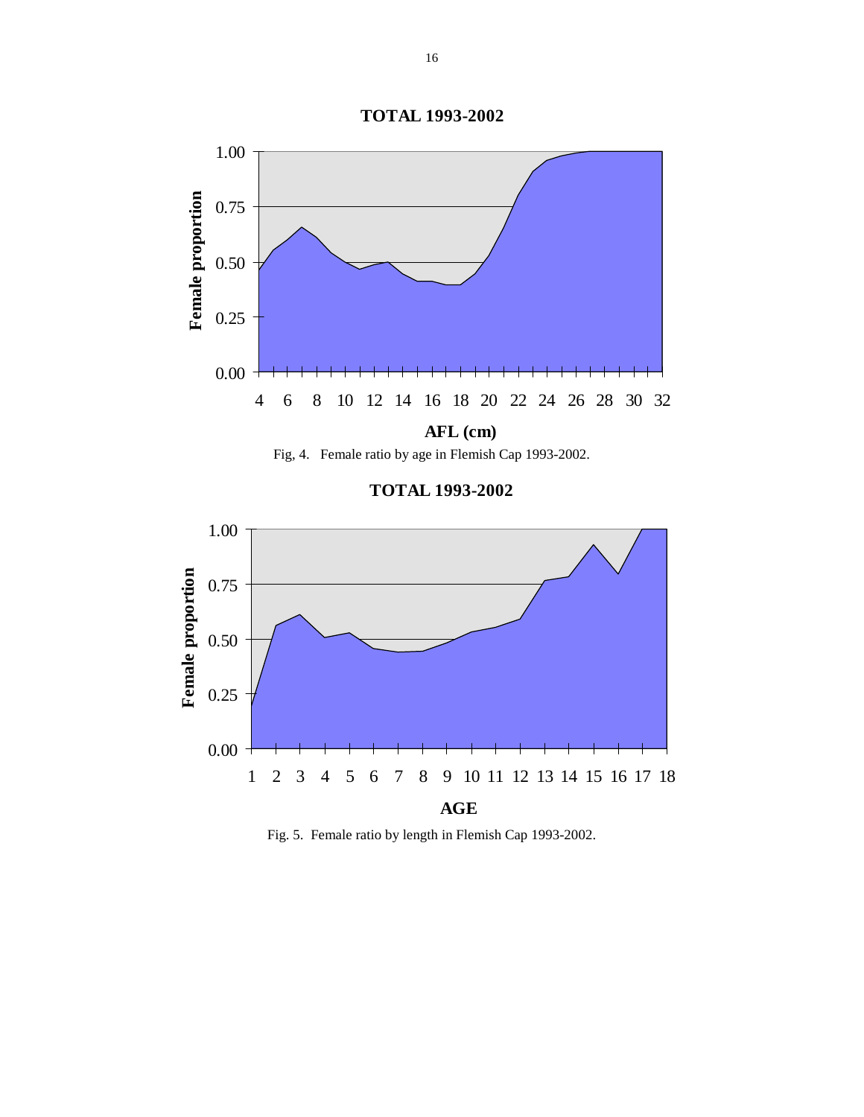





**TOTAL 1993-2002**



Fig. 5. Female ratio by length in Flemish Cap 1993-2002.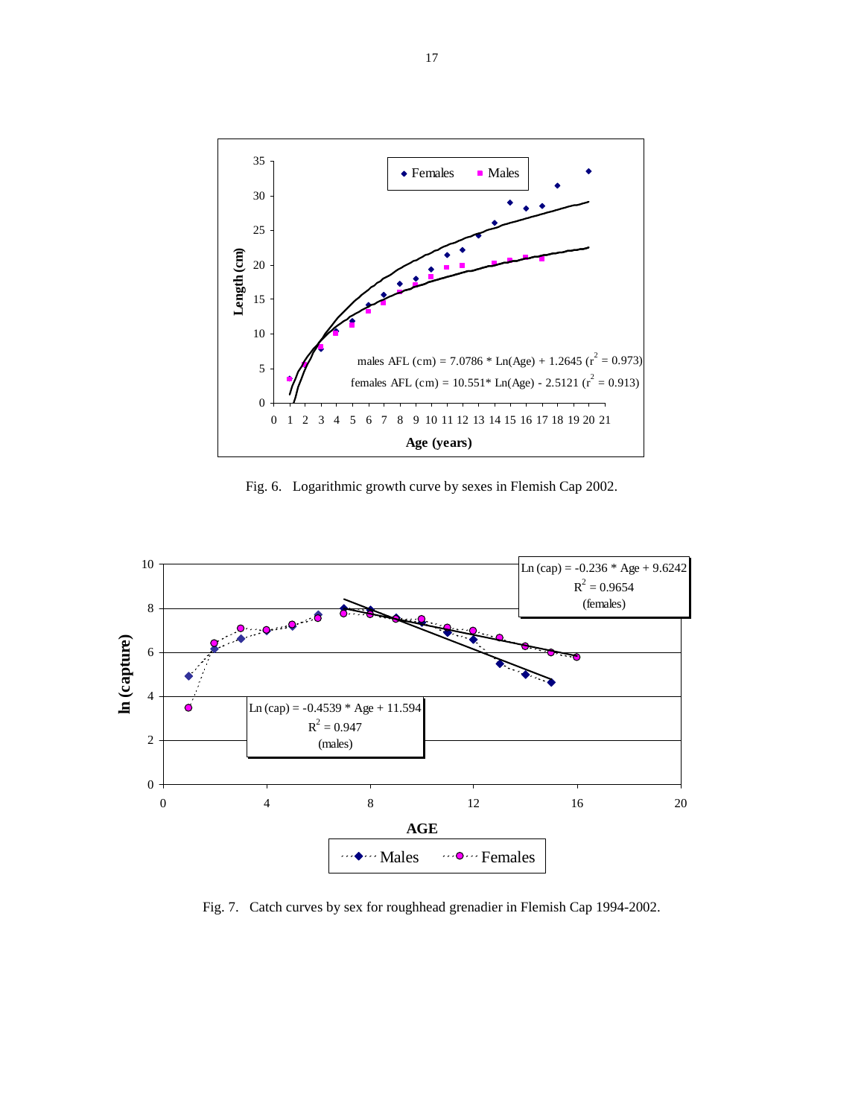

Fig. 6. Logarithmic growth curve by sexes in Flemish Cap 2002.



Fig. 7. Catch curves by sex for roughhead grenadier in Flemish Cap 1994-2002.